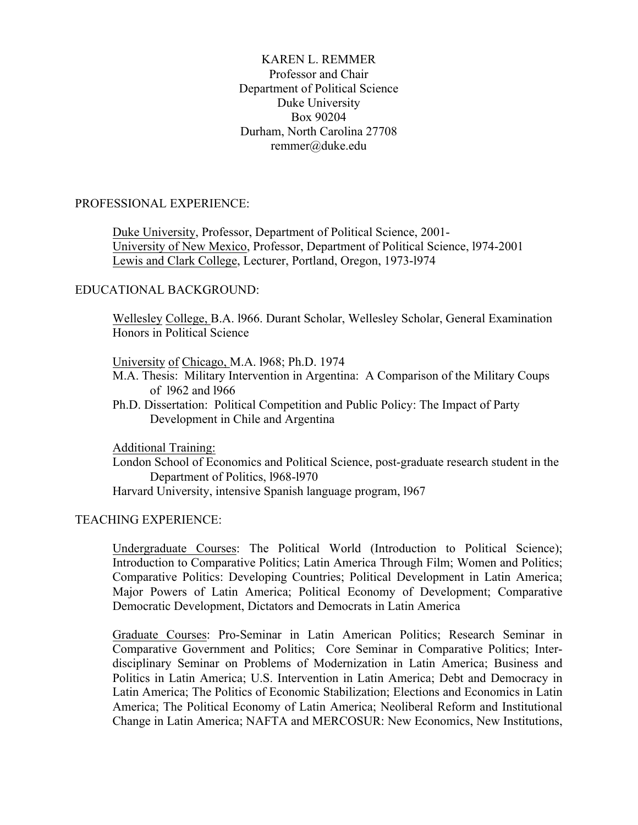# KAREN L. REMMER Professor and Chair Department of Political Science Duke University Box 90204 Durham, North Carolina 27708 remmer@duke.edu

## PROFESSIONAL EXPERIENCE:

 Duke University, Professor, Department of Political Science, 2001- University of New Mexico, Professor, Department of Political Science, l974-2001 Lewis and Clark College, Lecturer, Portland, Oregon, 1973-l974

#### EDUCATIONAL BACKGROUND:

Wellesley College, B.A. l966. Durant Scholar, Wellesley Scholar, General Examination Honors in Political Science

#### University of Chicago, M.A. l968; Ph.D. 1974

- M.A. Thesis: Military Intervention in Argentina: A Comparison of the Military Coups of l962 and l966
- Ph.D. Dissertation: Political Competition and Public Policy: The Impact of Party Development in Chile and Argentina

Additional Training:

London School of Economics and Political Science, post-graduate research student in the Department of Politics, l968-l970

Harvard University, intensive Spanish language program, l967

## TEACHING EXPERIENCE:

Undergraduate Courses: The Political World (Introduction to Political Science); Introduction to Comparative Politics; Latin America Through Film; Women and Politics; Comparative Politics: Developing Countries; Political Development in Latin America; Major Powers of Latin America; Political Economy of Development; Comparative Democratic Development, Dictators and Democrats in Latin America

Graduate Courses: Pro-Seminar in Latin American Politics; Research Seminar in Comparative Government and Politics; Core Seminar in Comparative Politics; Interdisciplinary Seminar on Problems of Modernization in Latin America; Business and Politics in Latin America; U.S. Intervention in Latin America; Debt and Democracy in Latin America; The Politics of Economic Stabilization; Elections and Economics in Latin America; The Political Economy of Latin America; Neoliberal Reform and Institutional Change in Latin America; NAFTA and MERCOSUR: New Economics, New Institutions,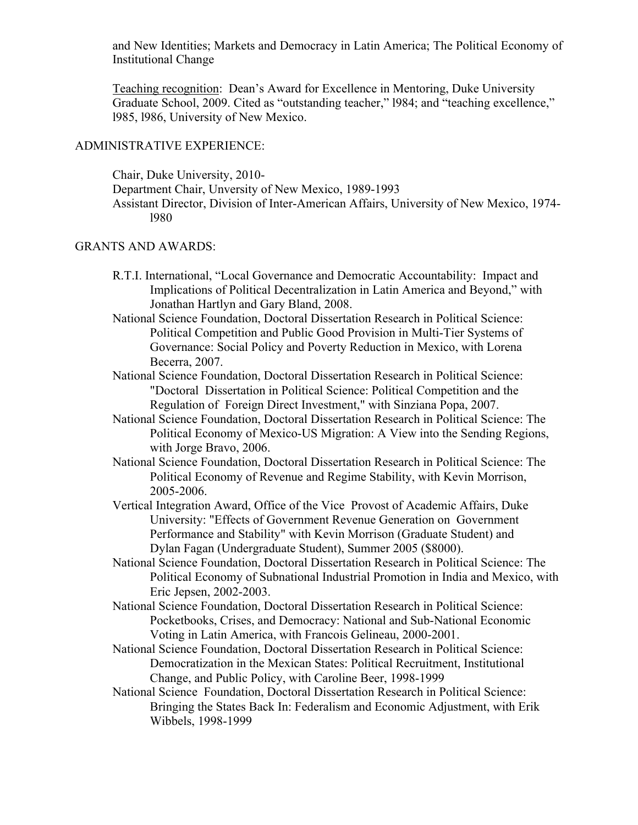and New Identities; Markets and Democracy in Latin America; The Political Economy of Institutional Change

Teaching recognition: Dean's Award for Excellence in Mentoring, Duke University Graduate School, 2009. Cited as "outstanding teacher," l984; and "teaching excellence," l985, l986, University of New Mexico.

#### ADMINISTRATIVE EXPERIENCE:

Chair, Duke University, 2010- Department Chair, Unversity of New Mexico, 1989-1993 Assistant Director, Division of Inter-American Affairs, University of New Mexico, 1974 l980

## GRANTS AND AWARDS:

- R.T.I. International, "Local Governance and Democratic Accountability: Impact and Implications of Political Decentralization in Latin America and Beyond," with Jonathan Hartlyn and Gary Bland, 2008.
- National Science Foundation, Doctoral Dissertation Research in Political Science: Political Competition and Public Good Provision in Multi-Tier Systems of Governance: Social Policy and Poverty Reduction in Mexico, with Lorena Becerra, 2007.
- National Science Foundation, Doctoral Dissertation Research in Political Science: "Doctoral Dissertation in Political Science: Political Competition and the Regulation of Foreign Direct Investment," with Sinziana Popa, 2007.
- National Science Foundation, Doctoral Dissertation Research in Political Science: The Political Economy of Mexico-US Migration: A View into the Sending Regions, with Jorge Bravo, 2006.
- National Science Foundation, Doctoral Dissertation Research in Political Science: The Political Economy of Revenue and Regime Stability, with Kevin Morrison, 2005-2006.
- Vertical Integration Award, Office of the Vice Provost of Academic Affairs, Duke University: "Effects of Government Revenue Generation on Government Performance and Stability" with Kevin Morrison (Graduate Student) and Dylan Fagan (Undergraduate Student), Summer 2005 (\$8000).
- National Science Foundation, Doctoral Dissertation Research in Political Science: The Political Economy of Subnational Industrial Promotion in India and Mexico, with Eric Jepsen, 2002-2003.
- National Science Foundation, Doctoral Dissertation Research in Political Science: Pocketbooks, Crises, and Democracy: National and Sub-National Economic Voting in Latin America, with Francois Gelineau, 2000-2001.
- National Science Foundation, Doctoral Dissertation Research in Political Science: Democratization in the Mexican States: Political Recruitment, Institutional Change, and Public Policy, with Caroline Beer, 1998-1999
- National Science Foundation, Doctoral Dissertation Research in Political Science: Bringing the States Back In: Federalism and Economic Adjustment, with Erik Wibbels, 1998-1999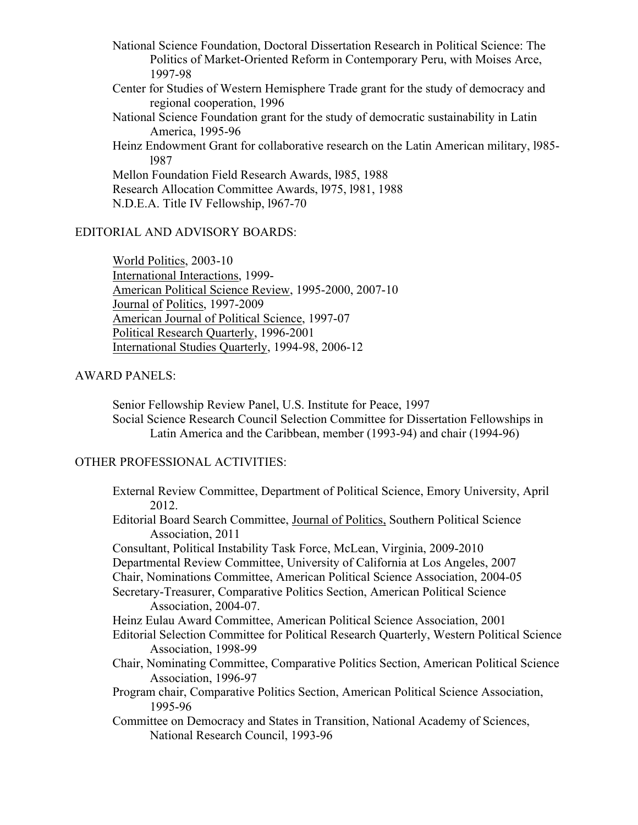National Science Foundation, Doctoral Dissertation Research in Political Science: The Politics of Market-Oriented Reform in Contemporary Peru, with Moises Arce, 1997-98 Center for Studies of Western Hemisphere Trade grant for the study of democracy and

regional cooperation, 1996 National Science Foundation grant for the study of democratic sustainability in Latin America, 1995-96

Heinz Endowment Grant for collaborative research on the Latin American military, l985 l987

Mellon Foundation Field Research Awards, l985, 1988 Research Allocation Committee Awards, l975, l981, 1988 N.D.E.A. Title IV Fellowship, l967-70

# EDITORIAL AND ADVISORY BOARDS:

World Politics, 2003-10 International Interactions, 1999- American Political Science Review, 1995-2000, 2007-10 Journal of Politics, 1997-2009 American Journal of Political Science, 1997-07 Political Research Quarterly, 1996-2001 International Studies Quarterly, 1994-98, 2006-12

# AWARD PANELS:

Senior Fellowship Review Panel, U.S. Institute for Peace, 1997 Social Science Research Council Selection Committee for Dissertation Fellowships in Latin America and the Caribbean, member (1993-94) and chair (1994-96)

## OTHER PROFESSIONAL ACTIVITIES:

External Review Committee, Department of Political Science, Emory University, April 2012. Editorial Board Search Committee, Journal of Politics, Southern Political Science Association, 2011 Consultant, Political Instability Task Force, McLean, Virginia, 2009-2010 Departmental Review Committee, University of California at Los Angeles, 2007 Chair, Nominations Committee, American Political Science Association, 2004-05 Secretary-Treasurer, Comparative Politics Section, American Political Science Association, 2004-07. Heinz Eulau Award Committee, American Political Science Association, 2001 Editorial Selection Committee for Political Research Quarterly, Western Political Science Association, 1998-99 Chair, Nominating Committee, Comparative Politics Section, American Political Science Association, 1996-97 Program chair, Comparative Politics Section, American Political Science Association, 1995-96 Committee on Democracy and States in Transition, National Academy of Sciences, National Research Council, 1993-96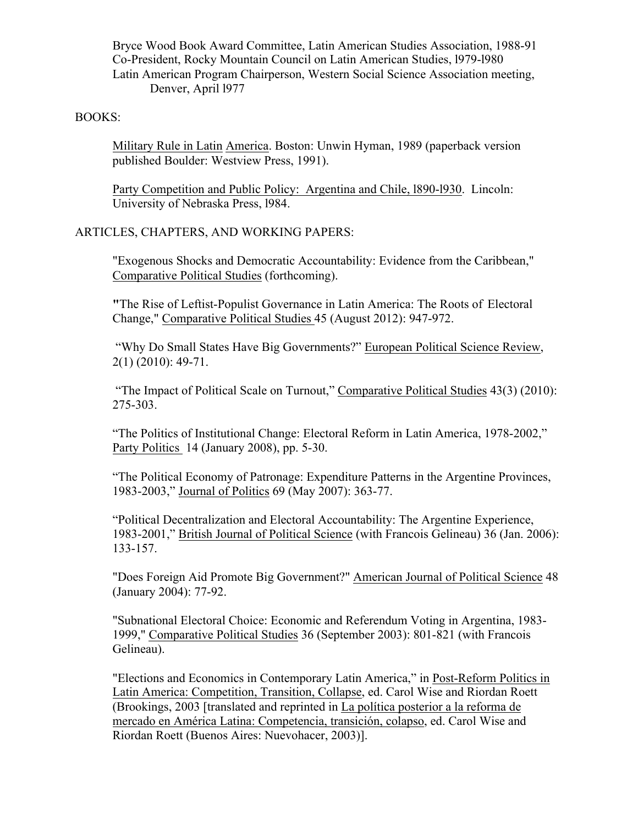Bryce Wood Book Award Committee, Latin American Studies Association, 1988-91 Co-President, Rocky Mountain Council on Latin American Studies, l979-l980 Latin American Program Chairperson, Western Social Science Association meeting, Denver, April l977

# BOOKS:

Military Rule in Latin America. Boston: Unwin Hyman, 1989 (paperback version published Boulder: Westview Press, 1991).

Party Competition and Public Policy: Argentina and Chile, l890-l930. Lincoln: University of Nebraska Press, l984.

## ARTICLES, CHAPTERS, AND WORKING PAPERS:

"Exogenous Shocks and Democratic Accountability: Evidence from the Caribbean," Comparative Political Studies (forthcoming).

**"**The Rise of Leftist-Populist Governance in Latin America: The Roots of Electoral Change," Comparative Political Studies 45 (August 2012): 947-972.

"Why Do Small States Have Big Governments?" European Political Science Review, 2(1) (2010): 49-71.

"The Impact of Political Scale on Turnout," Comparative Political Studies 43(3) (2010): 275-303.

"The Politics of Institutional Change: Electoral Reform in Latin America, 1978-2002," Party Politics 14 (January 2008), pp. 5-30.

"The Political Economy of Patronage: Expenditure Patterns in the Argentine Provinces, 1983-2003," Journal of Politics 69 (May 2007): 363-77.

"Political Decentralization and Electoral Accountability: The Argentine Experience, 1983-2001," British Journal of Political Science (with Francois Gelineau) 36 (Jan. 2006): 133-157.

"Does Foreign Aid Promote Big Government?" American Journal of Political Science 48 (January 2004): 77-92.

"Subnational Electoral Choice: Economic and Referendum Voting in Argentina, 1983- 1999," Comparative Political Studies 36 (September 2003): 801-821 (with Francois Gelineau).

"Elections and Economics in Contemporary Latin America," in Post-Reform Politics in Latin America: Competition, Transition, Collapse, ed. Carol Wise and Riordan Roett (Brookings, 2003 [translated and reprinted in La política posterior a la reforma de mercado en América Latina: Competencia, transición, colapso, ed. Carol Wise and Riordan Roett (Buenos Aires: Nuevohacer, 2003)].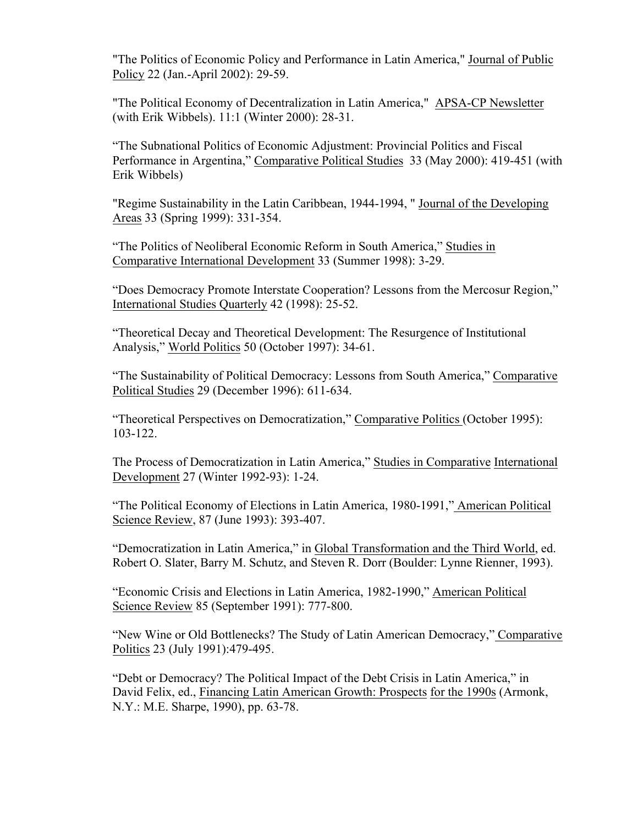"The Politics of Economic Policy and Performance in Latin America," Journal of Public Policy 22 (Jan.-April 2002): 29-59.

"The Political Economy of Decentralization in Latin America," APSA-CP Newsletter (with Erik Wibbels). 11:1 (Winter 2000): 28-31.

"The Subnational Politics of Economic Adjustment: Provincial Politics and Fiscal Performance in Argentina," Comparative Political Studies 33 (May 2000): 419-451 (with Erik Wibbels)

"Regime Sustainability in the Latin Caribbean, 1944-1994, " Journal of the Developing Areas 33 (Spring 1999): 331-354.

"The Politics of Neoliberal Economic Reform in South America," Studies in Comparative International Development 33 (Summer 1998): 3-29.

"Does Democracy Promote Interstate Cooperation? Lessons from the Mercosur Region," International Studies Quarterly 42 (1998): 25-52.

"Theoretical Decay and Theoretical Development: The Resurgence of Institutional Analysis," World Politics 50 (October 1997): 34-61.

"The Sustainability of Political Democracy: Lessons from South America," Comparative Political Studies 29 (December 1996): 611-634.

"Theoretical Perspectives on Democratization," Comparative Politics (October 1995): 103-122.

The Process of Democratization in Latin America," Studies in Comparative International Development 27 (Winter 1992-93): 1-24.

"The Political Economy of Elections in Latin America, 1980-1991," American Political Science Review, 87 (June 1993): 393-407.

"Democratization in Latin America," in Global Transformation and the Third World, ed. Robert O. Slater, Barry M. Schutz, and Steven R. Dorr (Boulder: Lynne Rienner, 1993).

"Economic Crisis and Elections in Latin America, 1982-1990," American Political Science Review 85 (September 1991): 777-800.

"New Wine or Old Bottlenecks? The Study of Latin American Democracy," Comparative Politics 23 (July 1991):479-495.

"Debt or Democracy? The Political Impact of the Debt Crisis in Latin America," in David Felix, ed., Financing Latin American Growth: Prospects for the 1990s (Armonk, N.Y.: M.E. Sharpe, 1990), pp. 63-78.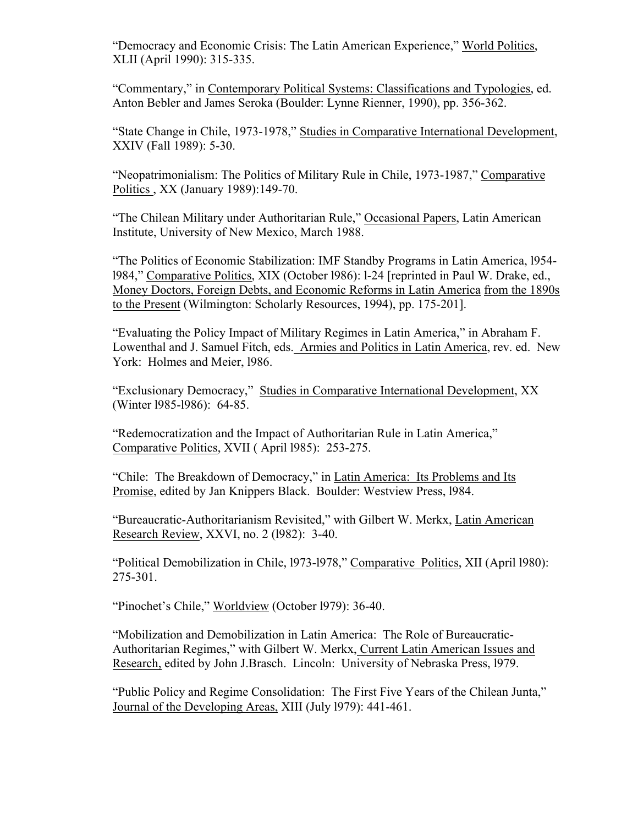"Democracy and Economic Crisis: The Latin American Experience," World Politics, XLII (April 1990): 315-335.

"Commentary," in Contemporary Political Systems: Classifications and Typologies, ed. Anton Bebler and James Seroka (Boulder: Lynne Rienner, 1990), pp. 356-362.

"State Change in Chile, 1973-1978," Studies in Comparative International Development, XXIV (Fall 1989): 5-30.

"Neopatrimonialism: The Politics of Military Rule in Chile, 1973-1987," Comparative Politics , XX (January 1989):149-70.

"The Chilean Military under Authoritarian Rule," Occasional Papers, Latin American Institute, University of New Mexico, March 1988.

"The Politics of Economic Stabilization: IMF Standby Programs in Latin America, l954 l984," Comparative Politics, XIX (October l986): l-24 [reprinted in Paul W. Drake, ed., Money Doctors, Foreign Debts, and Economic Reforms in Latin America from the 1890s to the Present (Wilmington: Scholarly Resources, 1994), pp. 175-201].

"Evaluating the Policy Impact of Military Regimes in Latin America," in Abraham F. Lowenthal and J. Samuel Fitch, eds. Armies and Politics in Latin America, rev. ed. New York: Holmes and Meier, l986.

"Exclusionary Democracy," Studies in Comparative International Development, XX (Winter l985-l986): 64-85.

"Redemocratization and the Impact of Authoritarian Rule in Latin America," Comparative Politics, XVII ( April l985): 253-275.

"Chile: The Breakdown of Democracy," in Latin America: Its Problems and Its Promise, edited by Jan Knippers Black. Boulder: Westview Press, l984.

"Bureaucratic-Authoritarianism Revisited," with Gilbert W. Merkx, Latin American Research Review, XXVI, no. 2 (l982): 3-40.

"Political Demobilization in Chile, l973-l978," Comparative Politics, XII (April l980): 275-301.

"Pinochet's Chile," Worldview (October l979): 36-40.

"Mobilization and Demobilization in Latin America: The Role of Bureaucratic-Authoritarian Regimes," with Gilbert W. Merkx, Current Latin American Issues and Research, edited by John J.Brasch. Lincoln: University of Nebraska Press, l979.

"Public Policy and Regime Consolidation: The First Five Years of the Chilean Junta," Journal of the Developing Areas, XIII (July l979): 441-461.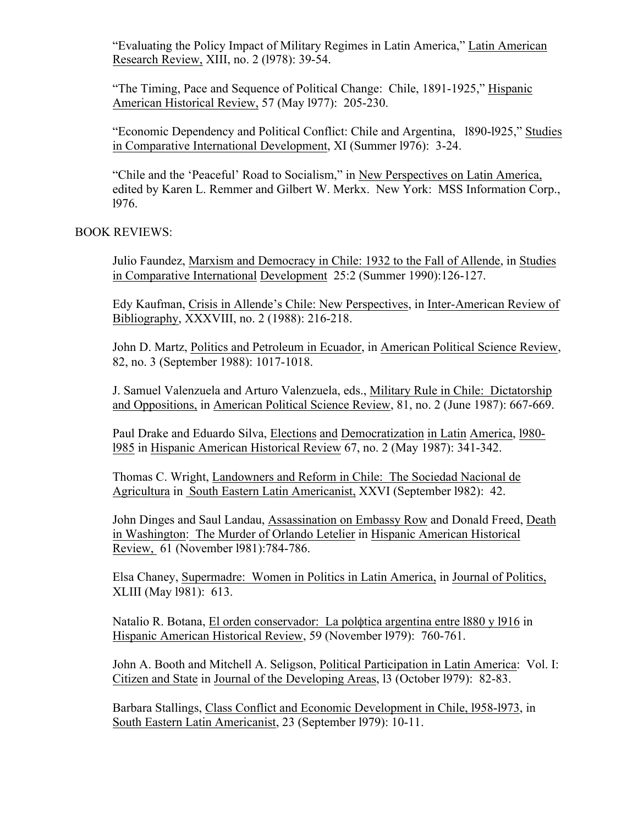"Evaluating the Policy Impact of Military Regimes in Latin America," Latin American Research Review, XIII, no. 2 (l978): 39-54.

"The Timing, Pace and Sequence of Political Change: Chile, 1891-1925," Hispanic American Historical Review, 57 (May l977): 205-230.

"Economic Dependency and Political Conflict: Chile and Argentina, l890-l925," Studies in Comparative International Development, XI (Summer l976): 3-24.

"Chile and the 'Peaceful' Road to Socialism," in New Perspectives on Latin America, edited by Karen L. Remmer and Gilbert W. Merkx. New York: MSS Information Corp., l976.

BOOK REVIEWS:

Julio Faundez, Marxism and Democracy in Chile: 1932 to the Fall of Allende, in Studies in Comparative International Development 25:2 (Summer 1990):126-127.

Edy Kaufman, Crisis in Allende's Chile: New Perspectives, in Inter-American Review of Bibliography, XXXVIII, no. 2 (1988): 216-218.

John D. Martz, Politics and Petroleum in Ecuador, in American Political Science Review, 82, no. 3 (September 1988): 1017-1018.

J. Samuel Valenzuela and Arturo Valenzuela, eds., Military Rule in Chile: Dictatorship and Oppositions, in American Political Science Review, 81, no. 2 (June 1987): 667-669.

Paul Drake and Eduardo Silva, Elections and Democratization in Latin America, l980 l985 in Hispanic American Historical Review 67, no. 2 (May 1987): 341-342.

Thomas C. Wright, Landowners and Reform in Chile: The Sociedad Nacional de Agricultura in South Eastern Latin Americanist, XXVI (September l982): 42.

John Dinges and Saul Landau, Assassination on Embassy Row and Donald Freed, Death in Washington: The Murder of Orlando Letelier in Hispanic American Historical Review, 61 (November l981):784-786.

Elsa Chaney, Supermadre: Women in Politics in Latin America, in Journal of Politics, XLIII (May l981): 613.

Natalio R. Botana, El orden conservador: La polφtica argentina entre l880 y l916 in Hispanic American Historical Review, 59 (November l979): 760-761.

John A. Booth and Mitchell A. Seligson, Political Participation in Latin America: Vol. I: Citizen and State in Journal of the Developing Areas, l3 (October l979): 82-83.

Barbara Stallings, Class Conflict and Economic Development in Chile, l958-l973, in South Eastern Latin Americanist, 23 (September l979): 10-11.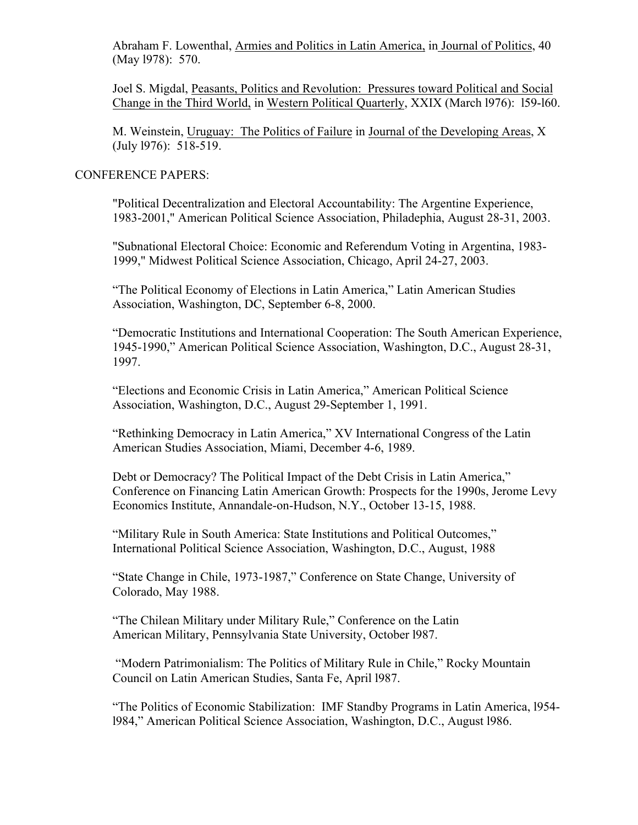Abraham F. Lowenthal, Armies and Politics in Latin America, in Journal of Politics, 40 (May l978): 570.

Joel S. Migdal, Peasants, Politics and Revolution: Pressures toward Political and Social Change in the Third World, in Western Political Quarterly, XXIX (March l976): l59-l60.

M. Weinstein, Uruguay: The Politics of Failure in Journal of the Developing Areas, X (July l976): 518-519.

# CONFERENCE PAPERS:

"Political Decentralization and Electoral Accountability: The Argentine Experience, 1983-2001," American Political Science Association, Philadephia, August 28-31, 2003.

"Subnational Electoral Choice: Economic and Referendum Voting in Argentina, 1983- 1999," Midwest Political Science Association, Chicago, April 24-27, 2003.

"The Political Economy of Elections in Latin America," Latin American Studies Association, Washington, DC, September 6-8, 2000.

"Democratic Institutions and International Cooperation: The South American Experience, 1945-1990," American Political Science Association, Washington, D.C., August 28-31, 1997.

"Elections and Economic Crisis in Latin America," American Political Science Association, Washington, D.C., August 29-September 1, 1991.

"Rethinking Democracy in Latin America," XV International Congress of the Latin American Studies Association, Miami, December 4-6, 1989.

Debt or Democracy? The Political Impact of the Debt Crisis in Latin America," Conference on Financing Latin American Growth: Prospects for the 1990s, Jerome Levy Economics Institute, Annandale-on-Hudson, N.Y., October 13-15, 1988.

"Military Rule in South America: State Institutions and Political Outcomes," International Political Science Association, Washington, D.C., August, 1988

"State Change in Chile, 1973-1987," Conference on State Change, University of Colorado, May 1988.

"The Chilean Military under Military Rule," Conference on the Latin American Military, Pennsylvania State University, October l987.

"Modern Patrimonialism: The Politics of Military Rule in Chile," Rocky Mountain Council on Latin American Studies, Santa Fe, April l987.

"The Politics of Economic Stabilization: IMF Standby Programs in Latin America, l954 l984," American Political Science Association, Washington, D.C., August l986.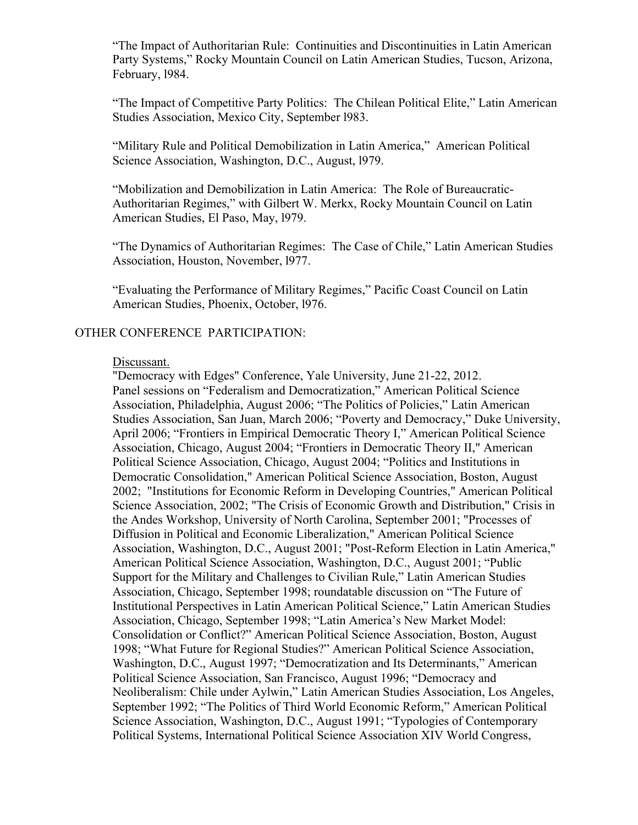"The Impact of Authoritarian Rule: Continuities and Discontinuities in Latin American Party Systems," Rocky Mountain Council on Latin American Studies, Tucson, Arizona, February, l984.

"The Impact of Competitive Party Politics: The Chilean Political Elite," Latin American Studies Association, Mexico City, September l983.

"Military Rule and Political Demobilization in Latin America," American Political Science Association, Washington, D.C., August, l979.

"Mobilization and Demobilization in Latin America: The Role of Bureaucratic-Authoritarian Regimes," with Gilbert W. Merkx, Rocky Mountain Council on Latin American Studies, El Paso, May, l979.

"The Dynamics of Authoritarian Regimes: The Case of Chile," Latin American Studies Association, Houston, November, l977.

"Evaluating the Performance of Military Regimes," Pacific Coast Council on Latin American Studies, Phoenix, October, l976.

## OTHER CONFERENCE PARTICIPATION:

#### Discussant.

"Democracy with Edges" Conference, Yale University, June 21-22, 2012. Panel sessions on "Federalism and Democratization," American Political Science Association, Philadelphia, August 2006; "The Politics of Policies," Latin American Studies Association, San Juan, March 2006; "Poverty and Democracy," Duke University, April 2006; "Frontiers in Empirical Democratic Theory I," American Political Science Association, Chicago, August 2004; "Frontiers in Democratic Theory II," American Political Science Association, Chicago, August 2004; "Politics and Institutions in Democratic Consolidation," American Political Science Association, Boston, August 2002; "Institutions for Economic Reform in Developing Countries," American Political Science Association, 2002; "The Crisis of Economic Growth and Distribution," Crisis in the Andes Workshop, University of North Carolina, September 2001; "Processes of Diffusion in Political and Economic Liberalization," American Political Science Association, Washington, D.C., August 2001; "Post-Reform Election in Latin America," American Political Science Association, Washington, D.C., August 2001; "Public Support for the Military and Challenges to Civilian Rule," Latin American Studies Association, Chicago, September 1998; roundatable discussion on "The Future of Institutional Perspectives in Latin American Political Science," Latin American Studies Association, Chicago, September 1998; "Latin America's New Market Model: Consolidation or Conflict?" American Political Science Association, Boston, August 1998; "What Future for Regional Studies?" American Political Science Association, Washington, D.C., August 1997; "Democratization and Its Determinants," American Political Science Association, San Francisco, August 1996; "Democracy and Neoliberalism: Chile under Aylwin," Latin American Studies Association, Los Angeles, September 1992; "The Politics of Third World Economic Reform," American Political Science Association, Washington, D.C., August 1991; "Typologies of Contemporary Political Systems, International Political Science Association XIV World Congress,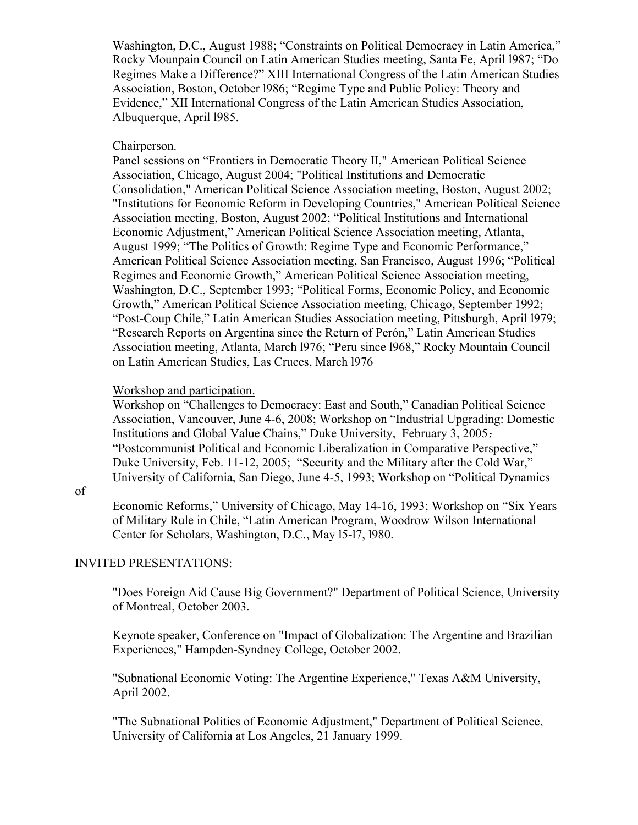Washington, D.C., August 1988; "Constraints on Political Democracy in Latin America," Rocky Mounpain Council on Latin American Studies meeting, Santa Fe, April l987; "Do Regimes Make a Difference?" XIII International Congress of the Latin American Studies Association, Boston, October l986; "Regime Type and Public Policy: Theory and Evidence," XII International Congress of the Latin American Studies Association, Albuquerque, April l985.

# Chairperson.

Panel sessions on "Frontiers in Democratic Theory II," American Political Science Association, Chicago, August 2004; "Political Institutions and Democratic Consolidation," American Political Science Association meeting, Boston, August 2002; "Institutions for Economic Reform in Developing Countries," American Political Science Association meeting, Boston, August 2002; "Political Institutions and International Economic Adjustment," American Political Science Association meeting, Atlanta, August 1999; "The Politics of Growth: Regime Type and Economic Performance," American Political Science Association meeting, San Francisco, August 1996; "Political Regimes and Economic Growth," American Political Science Association meeting, Washington, D.C., September 1993; "Political Forms, Economic Policy, and Economic Growth," American Political Science Association meeting, Chicago, September 1992; "Post-Coup Chile," Latin American Studies Association meeting, Pittsburgh, April l979; "Research Reports on Argentina since the Return of Perón," Latin American Studies Association meeting, Atlanta, March l976; "Peru since l968," Rocky Mountain Council on Latin American Studies, Las Cruces, March l976

## Workshop and participation.

Workshop on "Challenges to Democracy: East and South," Canadian Political Science Association, Vancouver, June 4-6, 2008; Workshop on "Industrial Upgrading: Domestic Institutions and Global Value Chains," Duke University, February 3, 2005; "Postcommunist Political and Economic Liberalization in Comparative Perspective," Duke University, Feb. 11-12, 2005; "Security and the Military after the Cold War," University of California, San Diego, June 4-5, 1993; Workshop on "Political Dynamics

#### of

Economic Reforms," University of Chicago, May 14-16, 1993; Workshop on "Six Years of Military Rule in Chile, "Latin American Program, Woodrow Wilson International Center for Scholars, Washington, D.C., May l5-l7, l980.

#### INVITED PRESENTATIONS:

"Does Foreign Aid Cause Big Government?" Department of Political Science, University of Montreal, October 2003.

Keynote speaker, Conference on "Impact of Globalization: The Argentine and Brazilian Experiences," Hampden-Syndney College, October 2002.

"Subnational Economic Voting: The Argentine Experience," Texas A&M University, April 2002.

"The Subnational Politics of Economic Adjustment," Department of Political Science, University of California at Los Angeles, 21 January 1999.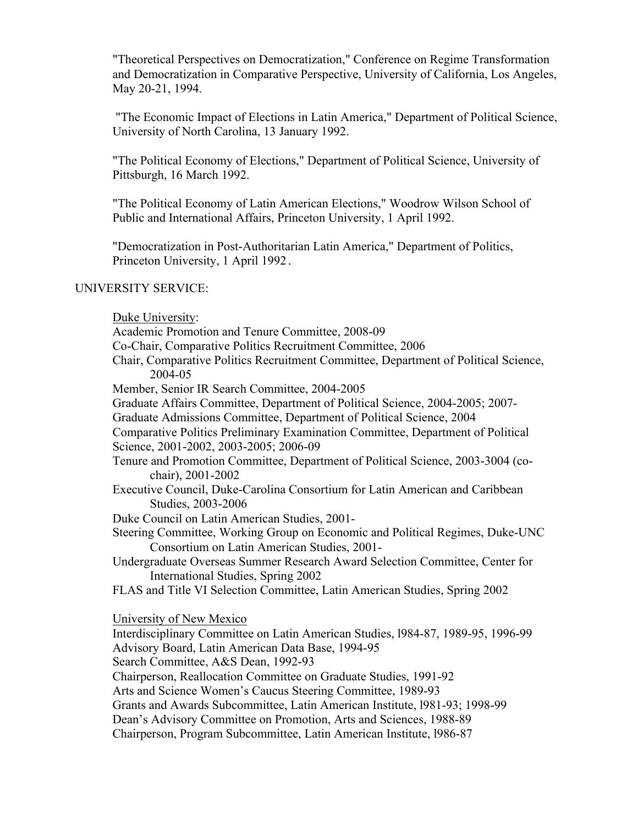"Theoretical Perspectives on Democratization," Conference on Regime Transformation and Democratization in Comparative Perspective, University of California, Los Angeles, May 20-21, 1994.

"The Economic Impact of Elections in Latin America," Department of Political Science, University of North Carolina, 13 January 1992.

"The Political Economy of Elections," Department of Political Science, University of Pittsburgh, 16 March 1992.

"The Political Economy of Latin American Elections," Woodrow Wilson School of Public and International Affairs, Princeton University, 1 April 1992.

"Democratization in Post-Authoritarian Latin America," Department of Politics, Princeton University, 1 April 1992.

# UNIVERSITY SERVICE:

| Duke University:                                                                                                                      |
|---------------------------------------------------------------------------------------------------------------------------------------|
| Academic Promotion and Tenure Committee, 2008-09                                                                                      |
| Co-Chair, Comparative Politics Recruitment Committee, 2006                                                                            |
| Chair, Comparative Politics Recruitment Committee, Department of Political Science,<br>2004-05                                        |
| Member, Senior IR Search Committee, 2004-2005                                                                                         |
| Graduate Affairs Committee, Department of Political Science, 2004-2005; 2007-                                                         |
| Graduate Admissions Committee, Department of Political Science, 2004                                                                  |
| Comparative Politics Preliminary Examination Committee, Department of Political<br>Science, 2001-2002, 2003-2005; 2006-09             |
| Tenure and Promotion Committee, Department of Political Science, 2003-3004 (co-<br>chair), 2001-2002                                  |
| Executive Council, Duke-Carolina Consortium for Latin American and Caribbean<br>Studies, 2003-2006                                    |
| Duke Council on Latin American Studies, 2001-                                                                                         |
| Steering Committee, Working Group on Economic and Political Regimes, Duke-UNC<br>Consortium on Latin American Studies, 2001-          |
| Undergraduate Overseas Summer Research Award Selection Committee, Center for<br>International Studies, Spring 2002                    |
| FLAS and Title VI Selection Committee, Latin American Studies, Spring 2002                                                            |
| University of New Mexico                                                                                                              |
| Interdisciplinary Committee on Latin American Studies, 1984-87, 1989-95, 1996-99<br>Advisory Board, Latin American Data Base, 1994-95 |
| Search Committee, A&S Dean, 1992-93                                                                                                   |
| Chairperson, Reallocation Committee on Graduate Studies, 1991-92                                                                      |
| Arts and Science Women's Caucus Steering Committee, 1989-93                                                                           |
| Grants and Awards Subcommittee, Latin American Institute, 1981-93; 1998-99                                                            |
| Dean's Advisory Committee on Promotion, Arts and Sciences, 1988-89                                                                    |
| Chairperson, Program Subcommittee, Latin American Institute, 1986-87                                                                  |
|                                                                                                                                       |